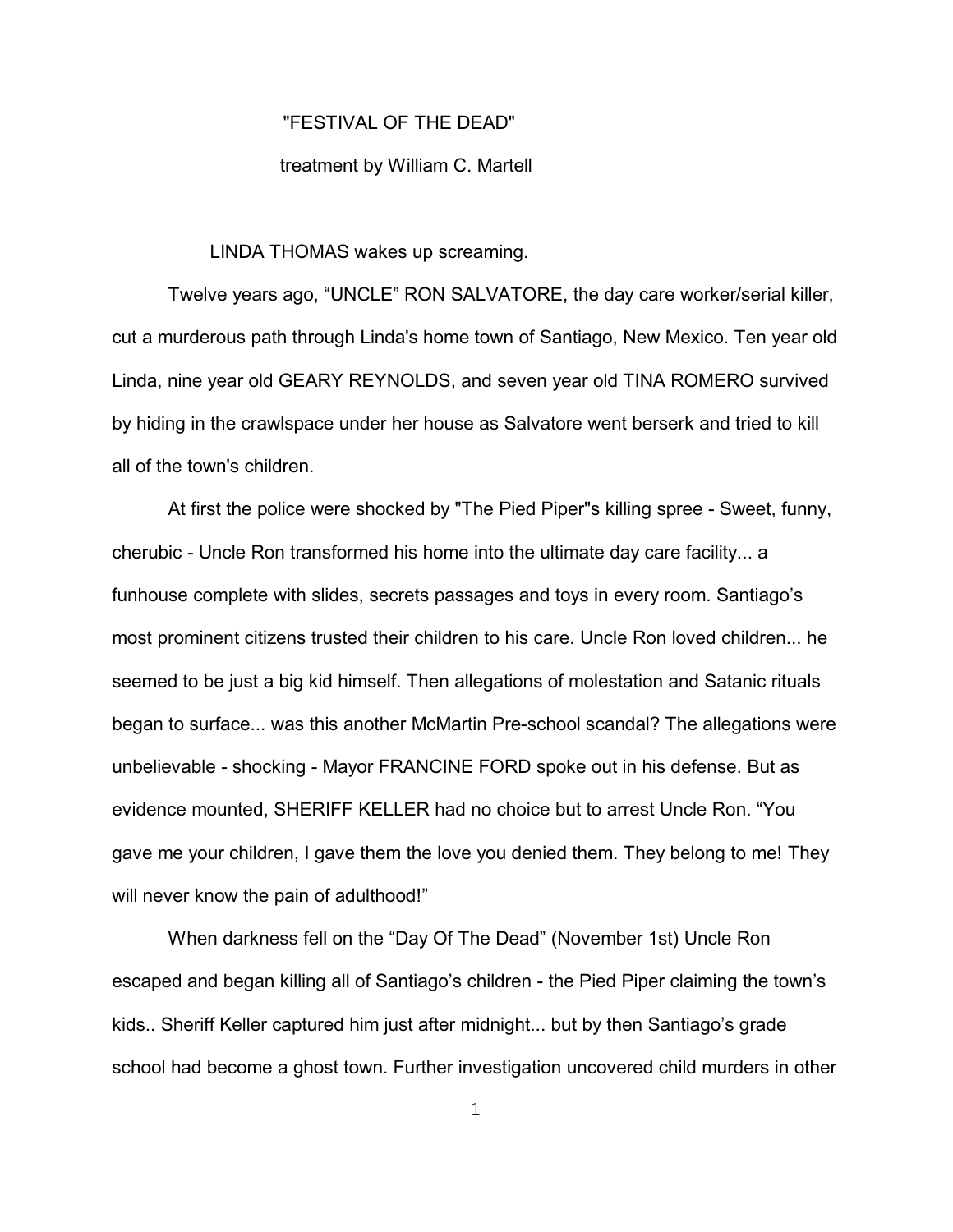## "FESTIVAL OF THE DEAD"

## treatment by William C. Martell

## LINDA THOMAS wakes up screaming.

Twelve years ago, "UNCLE" RON SALVATORE, the day care worker/serial killer, cut a murderous path through Linda's home town of Santiago, New Mexico. Ten year old Linda, nine year old GEARY REYNOLDS, and seven year old TINA ROMERO survived by hiding in the crawlspace under her house as Salvatore went berserk and tried to kill all of the town's children.

At first the police were shocked by "The Pied Piper"s killing spree - Sweet, funny, cherubic - Uncle Ron transformed his home into the ultimate day care facility... a funhouse complete with slides, secrets passages and toys in every room. Santiago's most prominent citizens trusted their children to his care. Uncle Ron loved children... he seemed to be just a big kid himself. Then allegations of molestation and Satanic rituals began to surface... was this another McMartin Pre-school scandal? The allegations were unbelievable - shocking - Mayor FRANCINE FORD spoke out in his defense. But as evidence mounted, SHERIFF KELLER had no choice but to arrest Uncle Ron. "You gave me your children, I gave them the love you denied them. They belong to me! They will never know the pain of adulthood!"

When darkness fell on the "Day Of The Dead" (November 1st) Uncle Ron escaped and began killing all of Santiago's children - the Pied Piper claiming the town's kids.. Sheriff Keller captured him just after midnight... but by then Santiago's grade school had become a ghost town. Further investigation uncovered child murders in other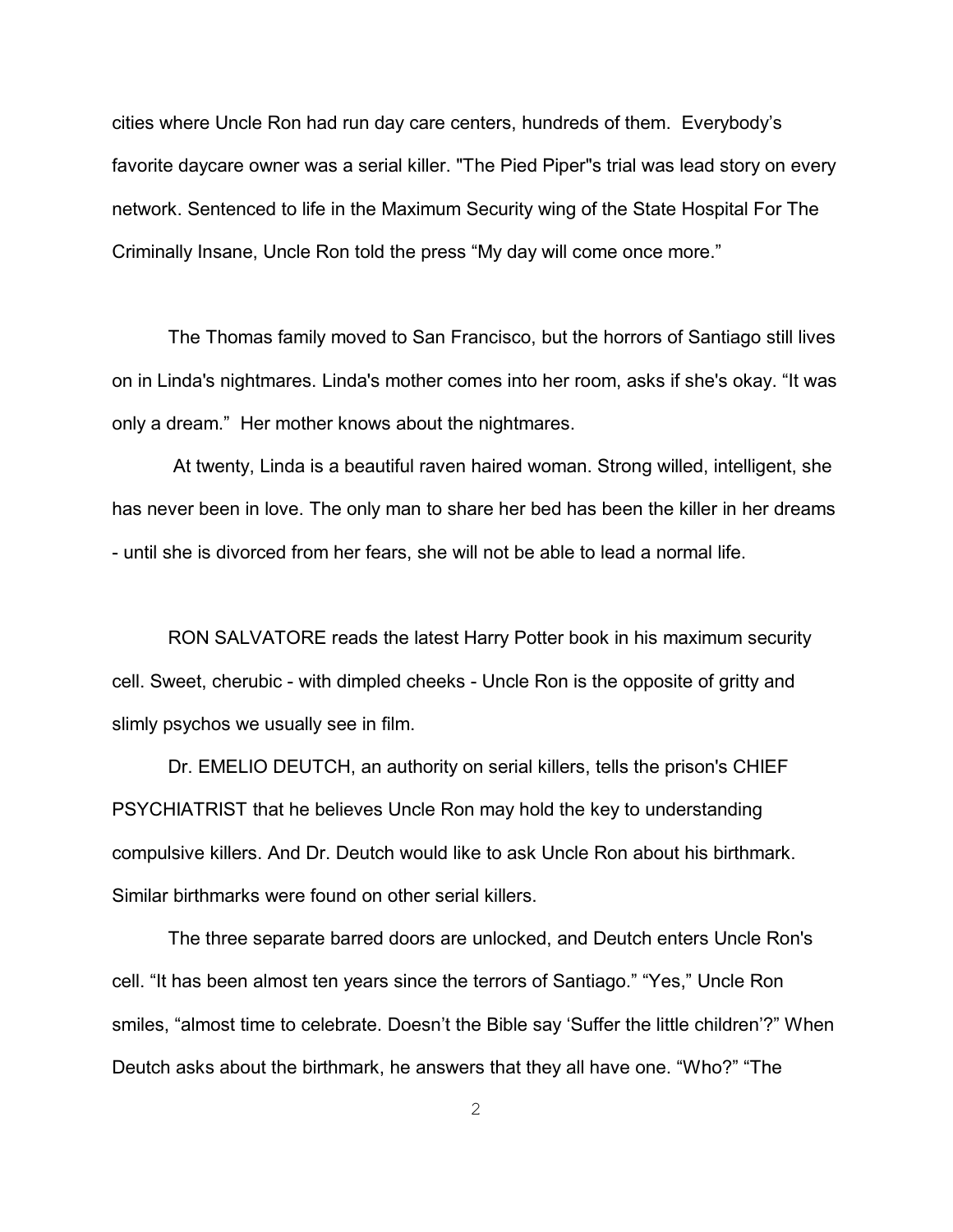cities where Uncle Ron had run day care centers, hundreds of them. Everybody's favorite daycare owner was a serial killer. "The Pied Piper"s trial was lead story on every network. Sentenced to life in the Maximum Security wing of the State Hospital For The Criminally Insane, Uncle Ron told the press "My day will come once more."

The Thomas family moved to San Francisco, but the horrors of Santiago still lives on in Linda's nightmares. Linda's mother comes into her room, asks if she's okay. "It was only a dream." Her mother knows about the nightmares.

 At twenty, Linda is a beautiful raven haired woman. Strong willed, intelligent, she has never been in love. The only man to share her bed has been the killer in her dreams - until she is divorced from her fears, she will not be able to lead a normal life.

RON SALVATORE reads the latest Harry Potter book in his maximum security cell. Sweet, cherubic - with dimpled cheeks - Uncle Ron is the opposite of gritty and slimly psychos we usually see in film.

Dr. EMELIO DEUTCH, an authority on serial killers, tells the prison's CHIEF PSYCHIATRIST that he believes Uncle Ron may hold the key to understanding compulsive killers. And Dr. Deutch would like to ask Uncle Ron about his birthmark. Similar birthmarks were found on other serial killers.

The three separate barred doors are unlocked, and Deutch enters Uncle Ron's cell. "It has been almost ten years since the terrors of Santiago." "Yes," Uncle Ron smiles, "almost time to celebrate. Doesn't the Bible say 'Suffer the little children'?" When Deutch asks about the birthmark, he answers that they all have one. "Who?" "The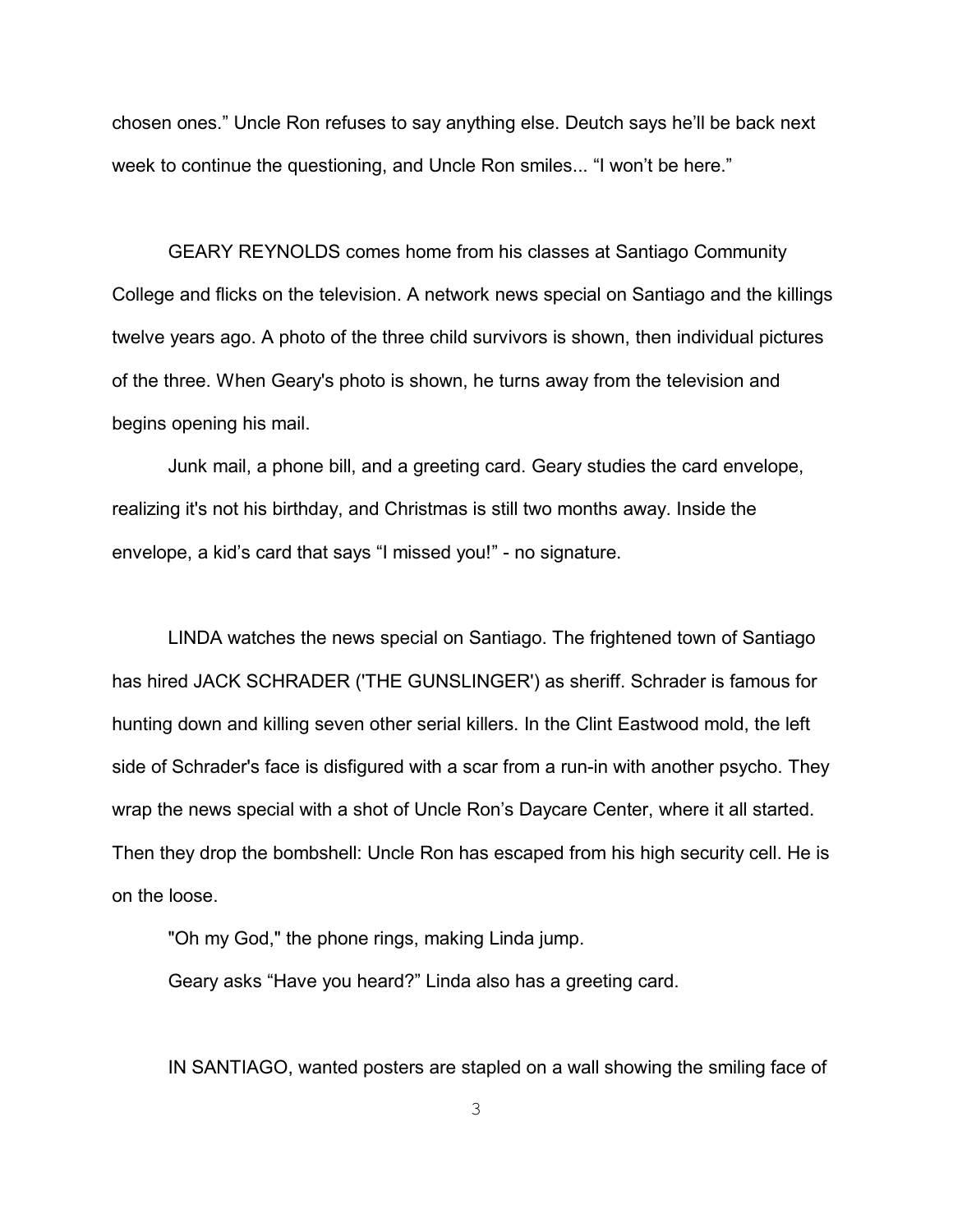chosen ones." Uncle Ron refuses to say anything else. Deutch says he'll be back next week to continue the questioning, and Uncle Ron smiles... "I won't be here."

GEARY REYNOLDS comes home from his classes at Santiago Community College and flicks on the television. A network news special on Santiago and the killings twelve years ago. A photo of the three child survivors is shown, then individual pictures of the three. When Geary's photo is shown, he turns away from the television and begins opening his mail.

Junk mail, a phone bill, and a greeting card. Geary studies the card envelope, realizing it's not his birthday, and Christmas is still two months away. Inside the envelope, a kid's card that says "I missed you!" - no signature.

LINDA watches the news special on Santiago. The frightened town of Santiago has hired JACK SCHRADER ('THE GUNSLINGER') as sheriff. Schrader is famous for hunting down and killing seven other serial killers. In the Clint Eastwood mold, the left side of Schrader's face is disfigured with a scar from a run-in with another psycho. They wrap the news special with a shot of Uncle Ron's Daycare Center, where it all started. Then they drop the bombshell: Uncle Ron has escaped from his high security cell. He is on the loose.

"Oh my God," the phone rings, making Linda jump.

Geary asks "Have you heard?" Linda also has a greeting card.

IN SANTIAGO, wanted posters are stapled on a wall showing the smiling face of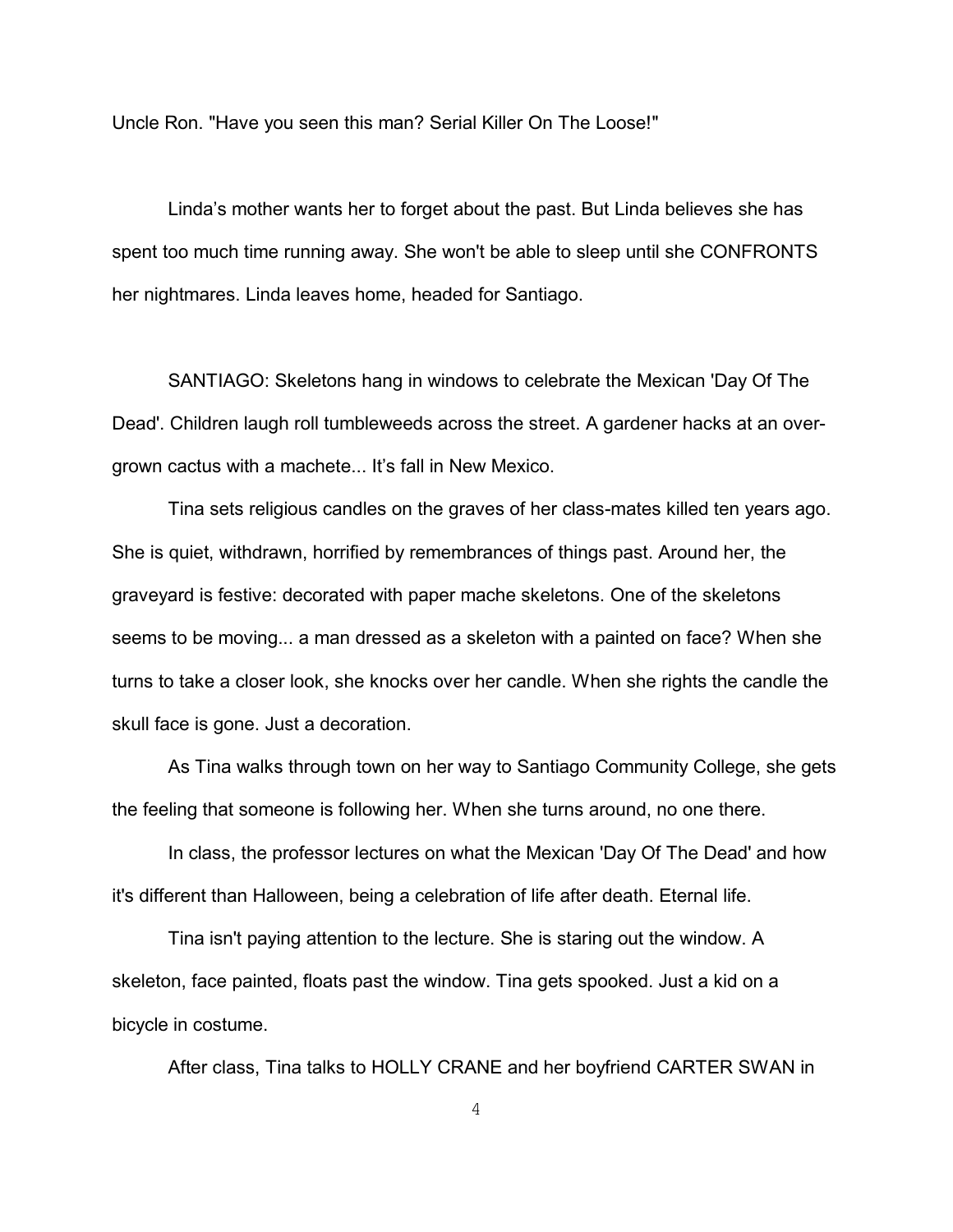Uncle Ron. "Have you seen this man? Serial Killer On The Loose!"

Linda's mother wants her to forget about the past. But Linda believes she has spent too much time running away. She won't be able to sleep until she CONFRONTS her nightmares. Linda leaves home, headed for Santiago.

SANTIAGO: Skeletons hang in windows to celebrate the Mexican 'Day Of The Dead'. Children laugh roll tumbleweeds across the street. A gardener hacks at an overgrown cactus with a machete... It's fall in New Mexico.

Tina sets religious candles on the graves of her class-mates killed ten years ago. She is quiet, withdrawn, horrified by remembrances of things past. Around her, the graveyard is festive: decorated with paper mache skeletons. One of the skeletons seems to be moving... a man dressed as a skeleton with a painted on face? When she turns to take a closer look, she knocks over her candle. When she rights the candle the skull face is gone. Just a decoration.

As Tina walks through town on her way to Santiago Community College, she gets the feeling that someone is following her. When she turns around, no one there.

In class, the professor lectures on what the Mexican 'Day Of The Dead' and how it's different than Halloween, being a celebration of life after death. Eternal life.

Tina isn't paying attention to the lecture. She is staring out the window. A skeleton, face painted, floats past the window. Tina gets spooked. Just a kid on a bicycle in costume.

After class, Tina talks to HOLLY CRANE and her boyfriend CARTER SWAN in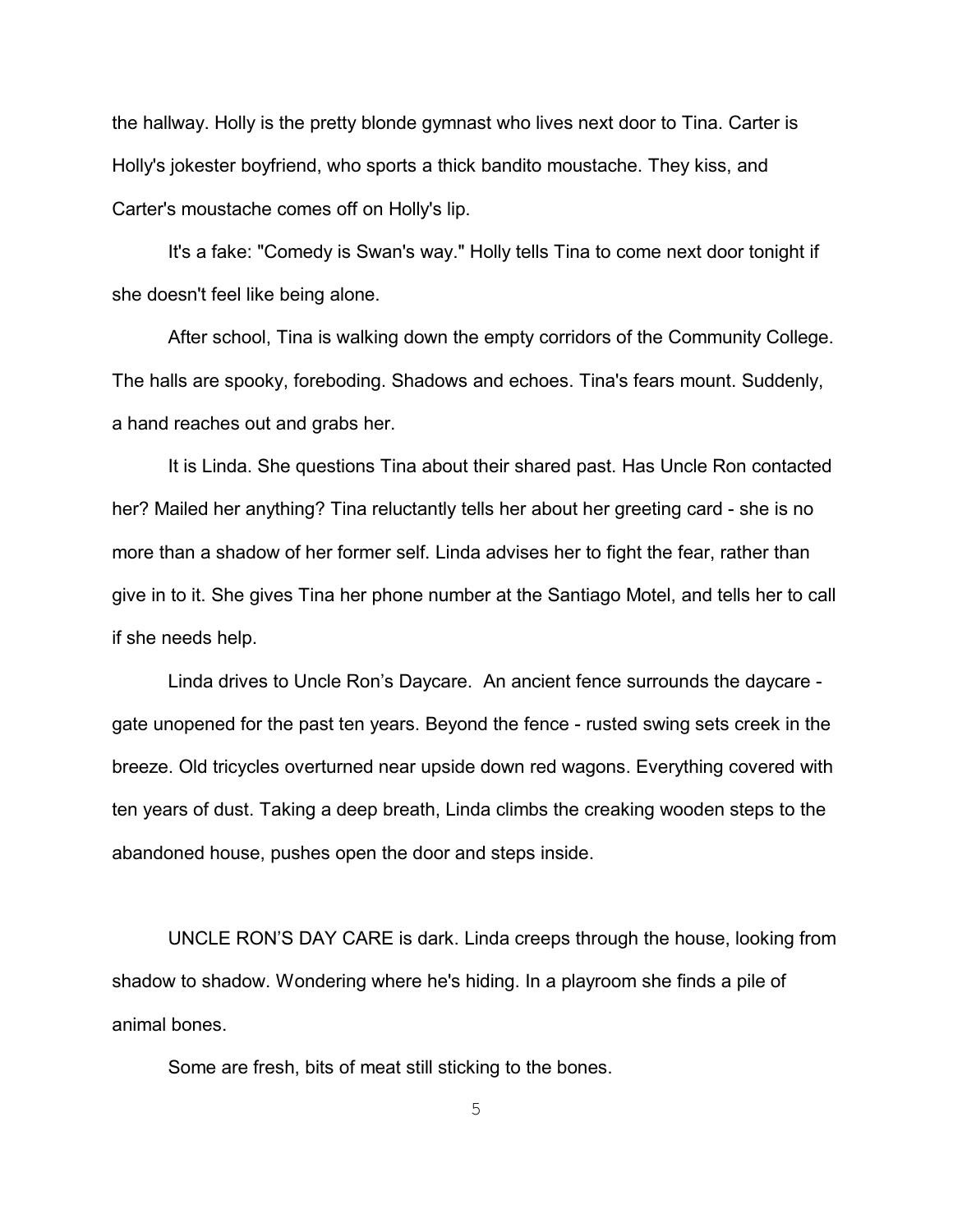the hallway. Holly is the pretty blonde gymnast who lives next door to Tina. Carter is Holly's jokester boyfriend, who sports a thick bandito moustache. They kiss, and Carter's moustache comes off on Holly's lip.

It's a fake: "Comedy is Swan's way." Holly tells Tina to come next door tonight if she doesn't feel like being alone.

After school, Tina is walking down the empty corridors of the Community College. The halls are spooky, foreboding. Shadows and echoes. Tina's fears mount. Suddenly, a hand reaches out and grabs her.

It is Linda. She questions Tina about their shared past. Has Uncle Ron contacted her? Mailed her anything? Tina reluctantly tells her about her greeting card - she is no more than a shadow of her former self. Linda advises her to fight the fear, rather than give in to it. She gives Tina her phone number at the Santiago Motel, and tells her to call if she needs help.

Linda drives to Uncle Ron's Daycare. An ancient fence surrounds the daycare gate unopened for the past ten years. Beyond the fence - rusted swing sets creek in the breeze. Old tricycles overturned near upside down red wagons. Everything covered with ten years of dust. Taking a deep breath, Linda climbs the creaking wooden steps to the abandoned house, pushes open the door and steps inside.

UNCLE RON'S DAY CARE is dark. Linda creeps through the house, looking from shadow to shadow. Wondering where he's hiding. In a playroom she finds a pile of animal bones.

Some are fresh, bits of meat still sticking to the bones.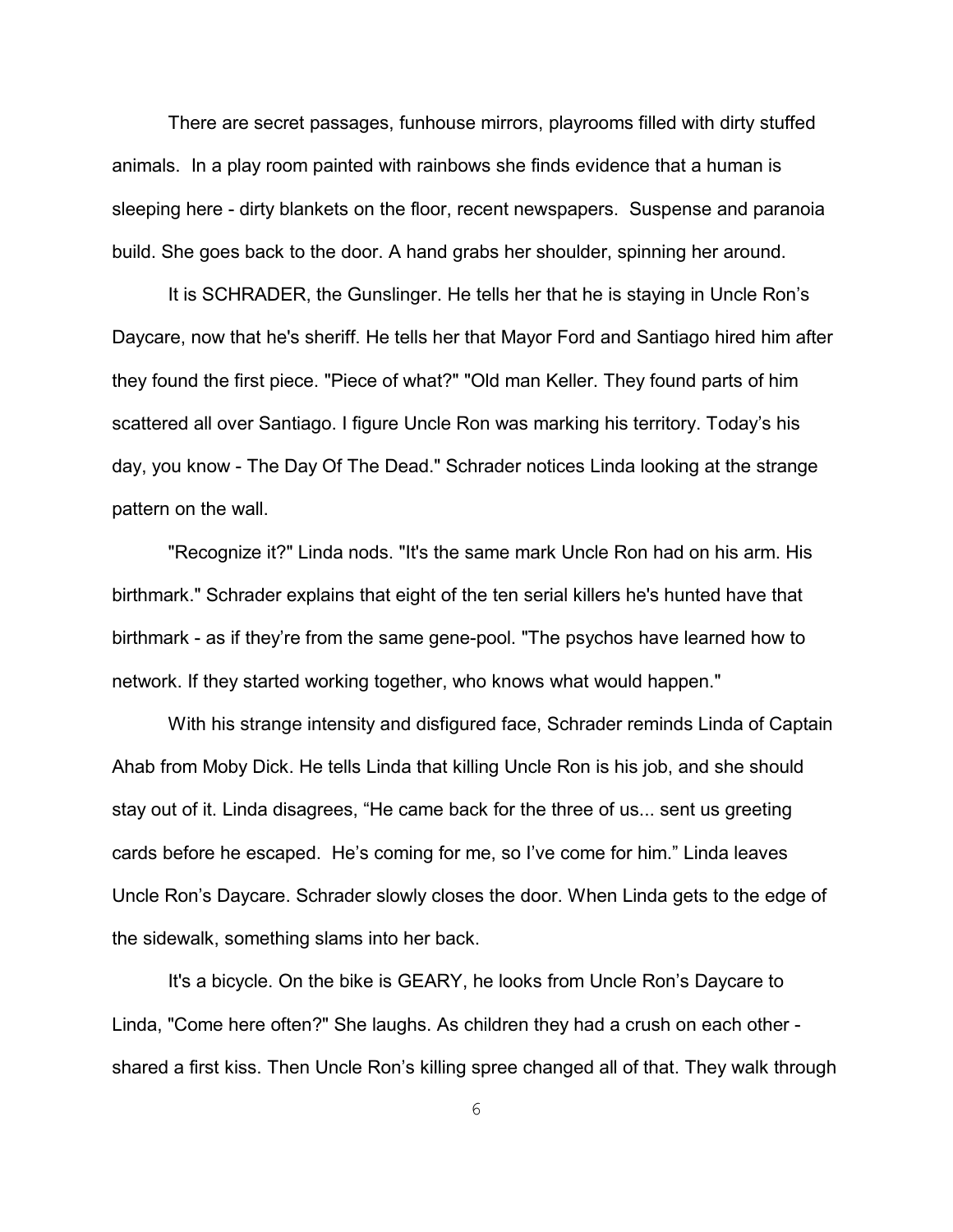There are secret passages, funhouse mirrors, playrooms filled with dirty stuffed animals. In a play room painted with rainbows she finds evidence that a human is sleeping here - dirty blankets on the floor, recent newspapers. Suspense and paranoia build. She goes back to the door. A hand grabs her shoulder, spinning her around.

It is SCHRADER, the Gunslinger. He tells her that he is staying in Uncle Ron's Daycare, now that he's sheriff. He tells her that Mayor Ford and Santiago hired him after they found the first piece. "Piece of what?" "Old man Keller. They found parts of him scattered all over Santiago. I figure Uncle Ron was marking his territory. Today's his day, you know - The Day Of The Dead." Schrader notices Linda looking at the strange pattern on the wall.

"Recognize it?" Linda nods. "It's the same mark Uncle Ron had on his arm. His birthmark." Schrader explains that eight of the ten serial killers he's hunted have that birthmark - as if they're from the same gene-pool. "The psychos have learned how to network. If they started working together, who knows what would happen."

With his strange intensity and disfigured face, Schrader reminds Linda of Captain Ahab from Moby Dick. He tells Linda that killing Uncle Ron is his job, and she should stay out of it. Linda disagrees, "He came back for the three of us... sent us greeting cards before he escaped. He's coming for me, so I've come for him." Linda leaves Uncle Ron's Daycare. Schrader slowly closes the door. When Linda gets to the edge of the sidewalk, something slams into her back.

It's a bicycle. On the bike is GEARY, he looks from Uncle Ron's Daycare to Linda, "Come here often?" She laughs. As children they had a crush on each other shared a first kiss. Then Uncle Ron's killing spree changed all of that. They walk through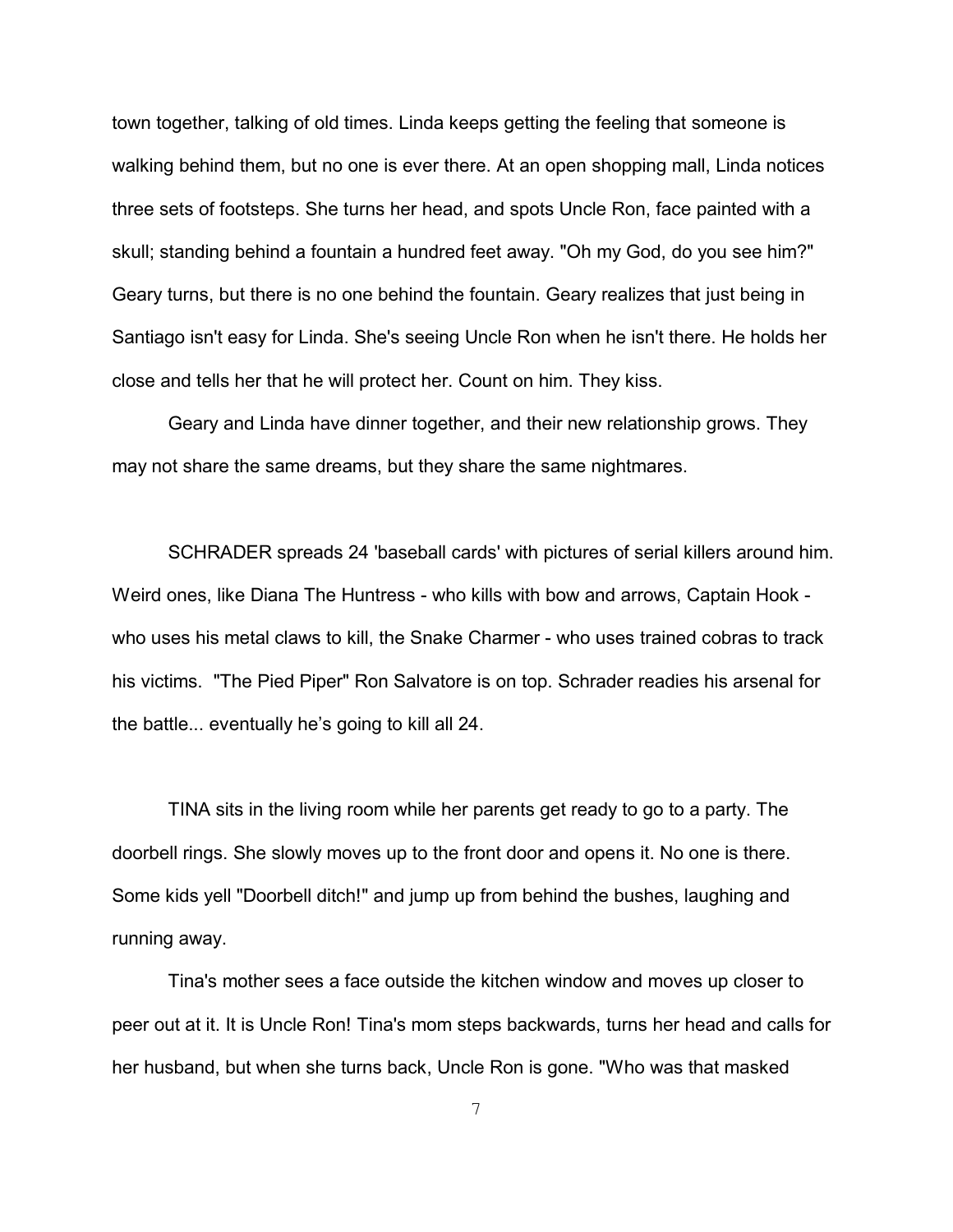town together, talking of old times. Linda keeps getting the feeling that someone is walking behind them, but no one is ever there. At an open shopping mall, Linda notices three sets of footsteps. She turns her head, and spots Uncle Ron, face painted with a skull; standing behind a fountain a hundred feet away. "Oh my God, do you see him?" Geary turns, but there is no one behind the fountain. Geary realizes that just being in Santiago isn't easy for Linda. She's seeing Uncle Ron when he isn't there. He holds her close and tells her that he will protect her. Count on him. They kiss.

Geary and Linda have dinner together, and their new relationship grows. They may not share the same dreams, but they share the same nightmares.

SCHRADER spreads 24 'baseball cards' with pictures of serial killers around him. Weird ones, like Diana The Huntress - who kills with bow and arrows, Captain Hook who uses his metal claws to kill, the Snake Charmer - who uses trained cobras to track his victims. "The Pied Piper" Ron Salvatore is on top. Schrader readies his arsenal for the battle... eventually he's going to kill all 24.

TINA sits in the living room while her parents get ready to go to a party. The doorbell rings. She slowly moves up to the front door and opens it. No one is there. Some kids yell "Doorbell ditch!" and jump up from behind the bushes, laughing and running away.

Tina's mother sees a face outside the kitchen window and moves up closer to peer out at it. It is Uncle Ron! Tina's mom steps backwards, turns her head and calls for her husband, but when she turns back, Uncle Ron is gone. "Who was that masked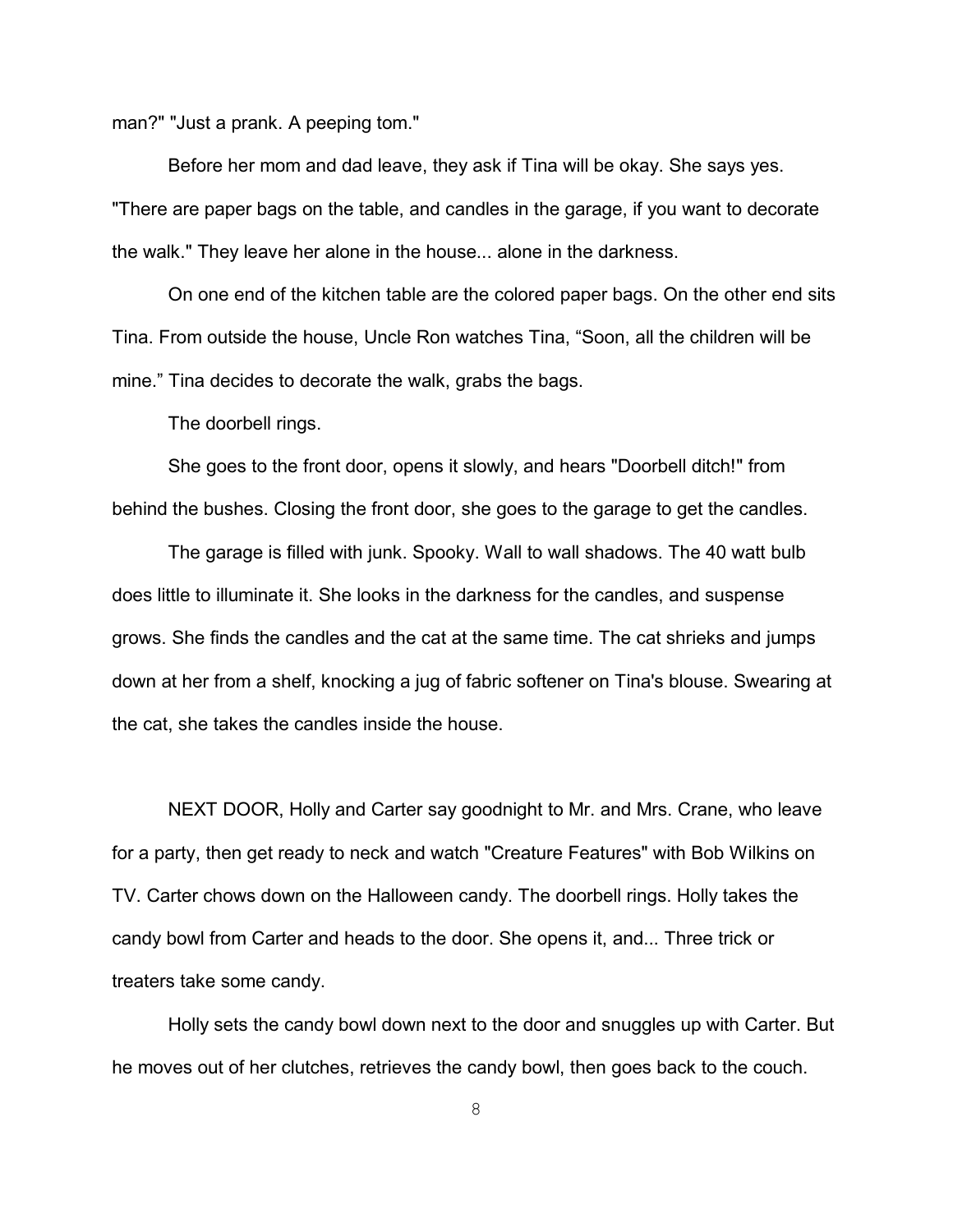man?" "Just a prank. A peeping tom."

Before her mom and dad leave, they ask if Tina will be okay. She says yes. "There are paper bags on the table, and candles in the garage, if you want to decorate the walk." They leave her alone in the house... alone in the darkness.

On one end of the kitchen table are the colored paper bags. On the other end sits Tina. From outside the house, Uncle Ron watches Tina, "Soon, all the children will be mine." Tina decides to decorate the walk, grabs the bags.

The doorbell rings.

She goes to the front door, opens it slowly, and hears "Doorbell ditch!" from behind the bushes. Closing the front door, she goes to the garage to get the candles.

The garage is filled with junk. Spooky. Wall to wall shadows. The 40 watt bulb does little to illuminate it. She looks in the darkness for the candles, and suspense grows. She finds the candles and the cat at the same time. The cat shrieks and jumps down at her from a shelf, knocking a jug of fabric softener on Tina's blouse. Swearing at the cat, she takes the candles inside the house.

NEXT DOOR, Holly and Carter say goodnight to Mr. and Mrs. Crane, who leave for a party, then get ready to neck and watch "Creature Features" with Bob Wilkins on TV. Carter chows down on the Halloween candy. The doorbell rings. Holly takes the candy bowl from Carter and heads to the door. She opens it, and... Three trick or treaters take some candy.

Holly sets the candy bowl down next to the door and snuggles up with Carter. But he moves out of her clutches, retrieves the candy bowl, then goes back to the couch.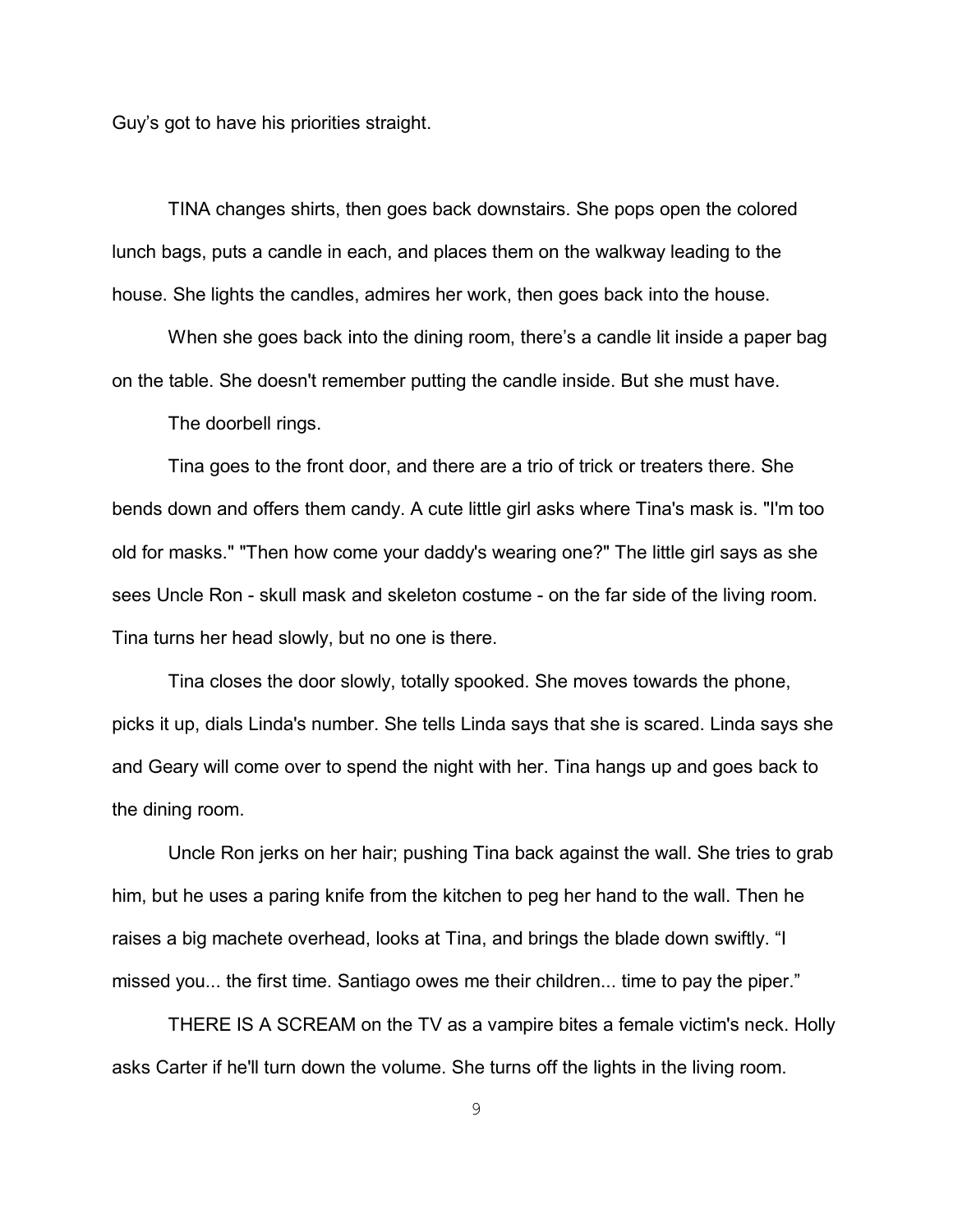Guy's got to have his priorities straight.

TINA changes shirts, then goes back downstairs. She pops open the colored lunch bags, puts a candle in each, and places them on the walkway leading to the house. She lights the candles, admires her work, then goes back into the house.

When she goes back into the dining room, there's a candle lit inside a paper bag on the table. She doesn't remember putting the candle inside. But she must have.

The doorbell rings.

Tina goes to the front door, and there are a trio of trick or treaters there. She bends down and offers them candy. A cute little girl asks where Tina's mask is. "I'm too old for masks." "Then how come your daddy's wearing one?" The little girl says as she sees Uncle Ron - skull mask and skeleton costume - on the far side of the living room. Tina turns her head slowly, but no one is there.

Tina closes the door slowly, totally spooked. She moves towards the phone, picks it up, dials Linda's number. She tells Linda says that she is scared. Linda says she and Geary will come over to spend the night with her. Tina hangs up and goes back to the dining room.

Uncle Ron jerks on her hair; pushing Tina back against the wall. She tries to grab him, but he uses a paring knife from the kitchen to peg her hand to the wall. Then he raises a big machete overhead, looks at Tina, and brings the blade down swiftly. "I missed you... the first time. Santiago owes me their children... time to pay the piper."

THERE IS A SCREAM on the TV as a vampire bites a female victim's neck. Holly asks Carter if he'll turn down the volume. She turns off the lights in the living room.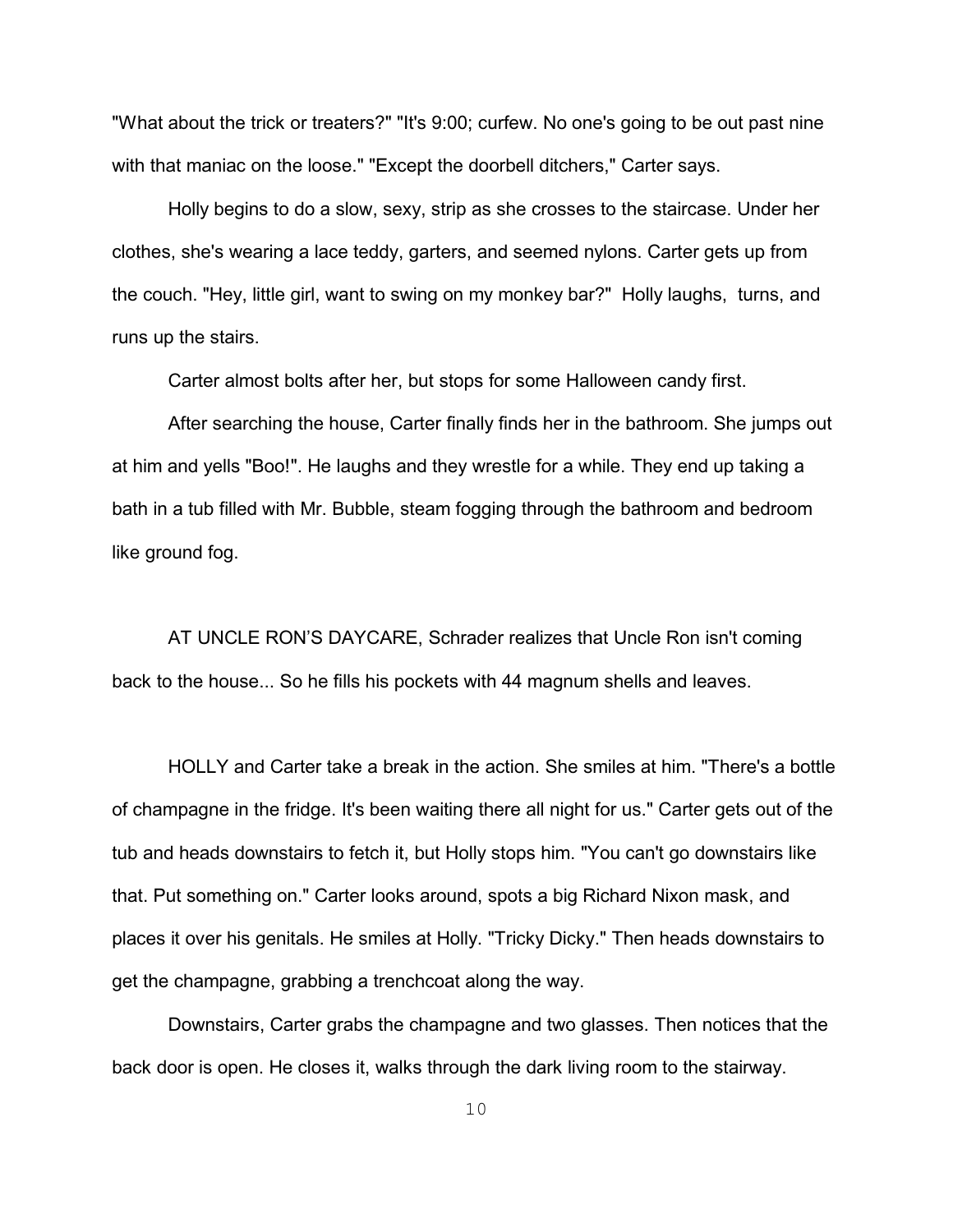"What about the trick or treaters?" "It's 9:00; curfew. No one's going to be out past nine with that maniac on the loose." "Except the doorbell ditchers," Carter says.

Holly begins to do a slow, sexy, strip as she crosses to the staircase. Under her clothes, she's wearing a lace teddy, garters, and seemed nylons. Carter gets up from the couch. "Hey, little girl, want to swing on my monkey bar?" Holly laughs, turns, and runs up the stairs.

Carter almost bolts after her, but stops for some Halloween candy first.

After searching the house, Carter finally finds her in the bathroom. She jumps out at him and yells "Boo!". He laughs and they wrestle for a while. They end up taking a bath in a tub filled with Mr. Bubble, steam fogging through the bathroom and bedroom like ground fog.

AT UNCLE RON'S DAYCARE, Schrader realizes that Uncle Ron isn't coming back to the house... So he fills his pockets with 44 magnum shells and leaves.

HOLLY and Carter take a break in the action. She smiles at him. "There's a bottle of champagne in the fridge. It's been waiting there all night for us." Carter gets out of the tub and heads downstairs to fetch it, but Holly stops him. "You can't go downstairs like that. Put something on." Carter looks around, spots a big Richard Nixon mask, and places it over his genitals. He smiles at Holly. "Tricky Dicky." Then heads downstairs to get the champagne, grabbing a trenchcoat along the way.

Downstairs, Carter grabs the champagne and two glasses. Then notices that the back door is open. He closes it, walks through the dark living room to the stairway.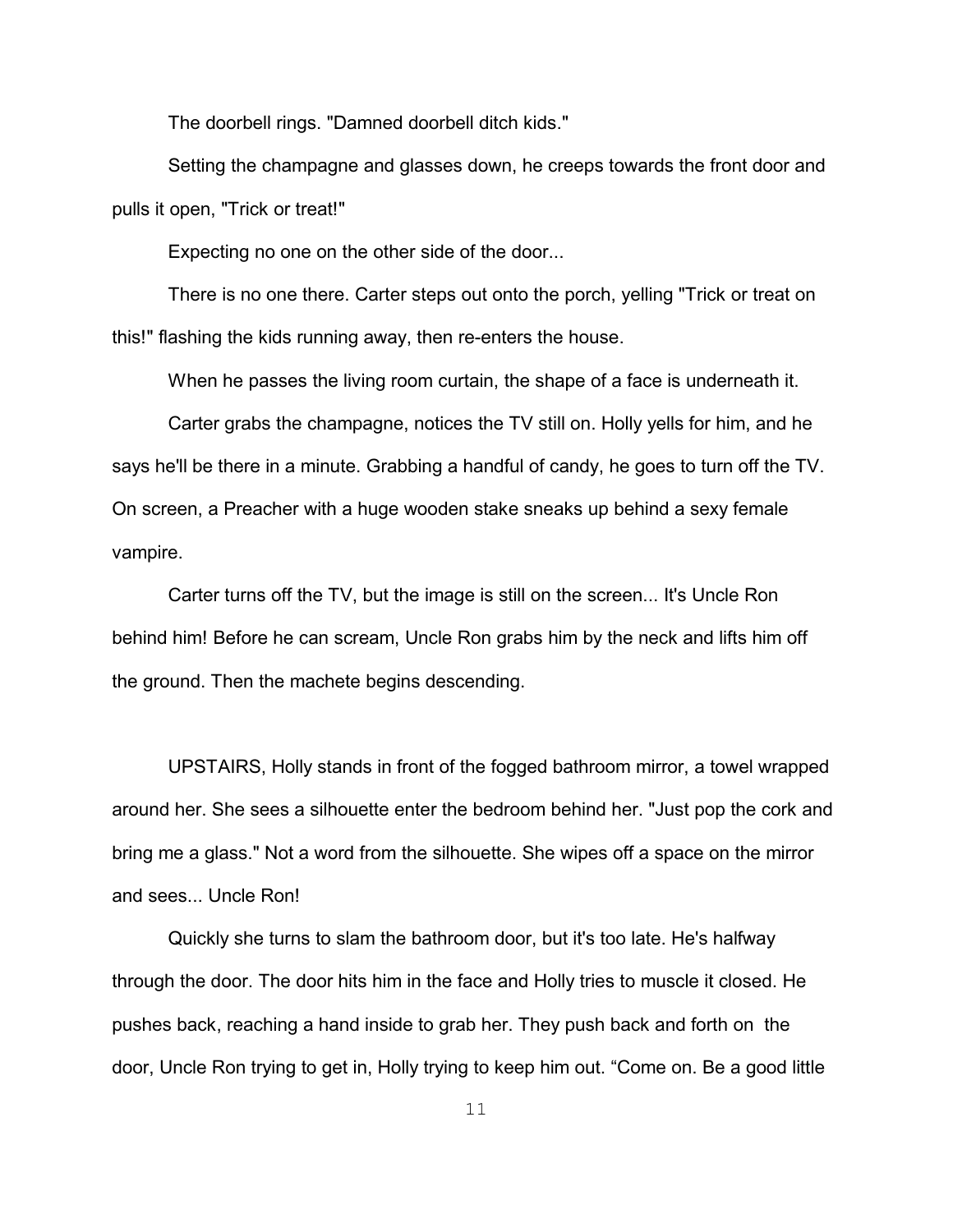The doorbell rings. "Damned doorbell ditch kids."

Setting the champagne and glasses down, he creeps towards the front door and pulls it open, "Trick or treat!"

Expecting no one on the other side of the door...

There is no one there. Carter steps out onto the porch, yelling "Trick or treat on this!" flashing the kids running away, then re-enters the house.

When he passes the living room curtain, the shape of a face is underneath it.

Carter grabs the champagne, notices the TV still on. Holly yells for him, and he says he'll be there in a minute. Grabbing a handful of candy, he goes to turn off the TV. On screen, a Preacher with a huge wooden stake sneaks up behind a sexy female vampire.

Carter turns off the TV, but the image is still on the screen... It's Uncle Ron behind him! Before he can scream, Uncle Ron grabs him by the neck and lifts him off the ground. Then the machete begins descending.

UPSTAIRS, Holly stands in front of the fogged bathroom mirror, a towel wrapped around her. She sees a silhouette enter the bedroom behind her. "Just pop the cork and bring me a glass." Not a word from the silhouette. She wipes off a space on the mirror and sees... Uncle Ron!

Quickly she turns to slam the bathroom door, but it's too late. He's halfway through the door. The door hits him in the face and Holly tries to muscle it closed. He pushes back, reaching a hand inside to grab her. They push back and forth on the door, Uncle Ron trying to get in, Holly trying to keep him out. "Come on. Be a good little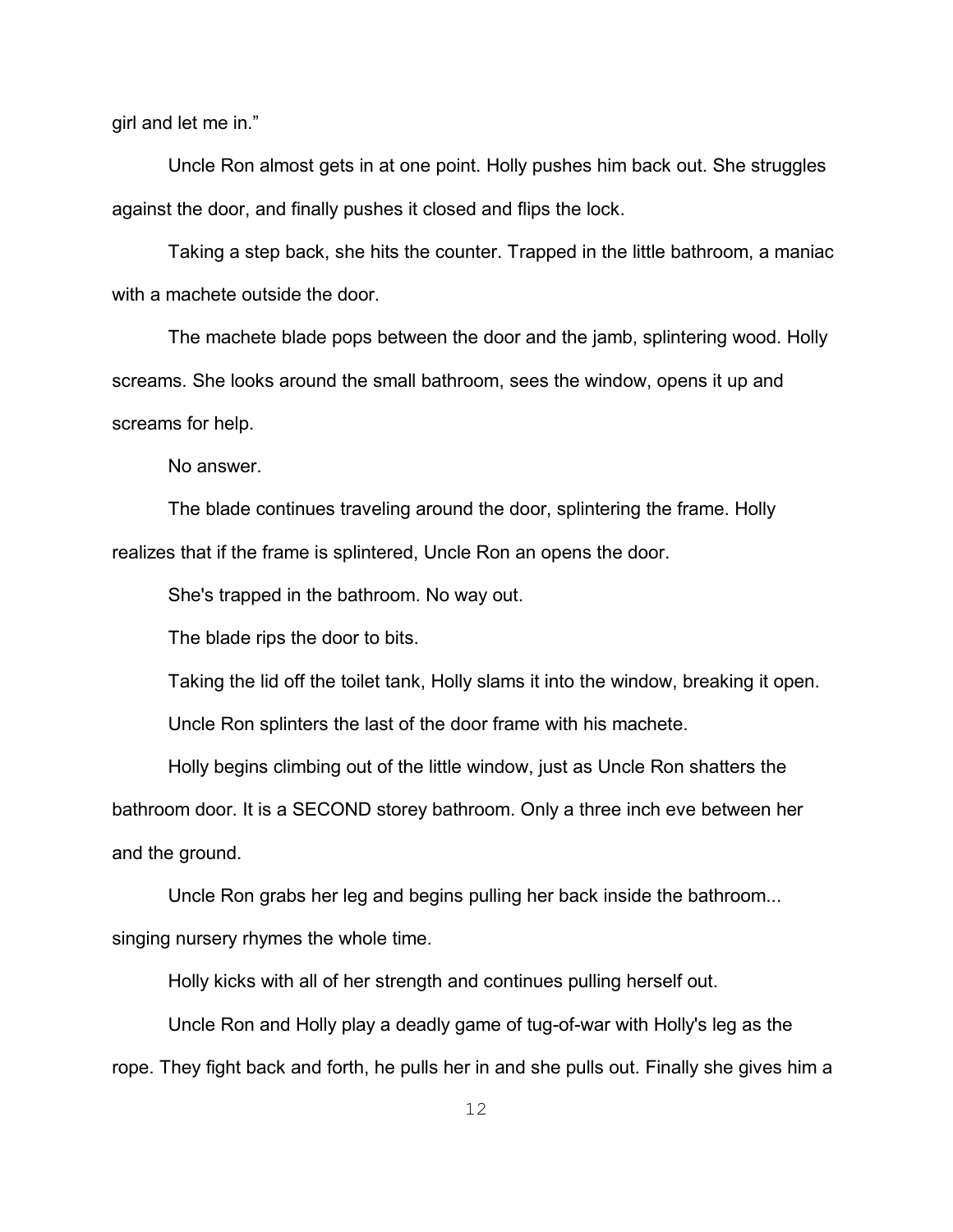girl and let me in."

Uncle Ron almost gets in at one point. Holly pushes him back out. She struggles against the door, and finally pushes it closed and flips the lock.

Taking a step back, she hits the counter. Trapped in the little bathroom, a maniac with a machete outside the door.

The machete blade pops between the door and the jamb, splintering wood. Holly screams. She looks around the small bathroom, sees the window, opens it up and screams for help.

No answer.

The blade continues traveling around the door, splintering the frame. Holly realizes that if the frame is splintered, Uncle Ron an opens the door.

She's trapped in the bathroom. No way out.

The blade rips the door to bits.

Taking the lid off the toilet tank, Holly slams it into the window, breaking it open.

Uncle Ron splinters the last of the door frame with his machete.

Holly begins climbing out of the little window, just as Uncle Ron shatters the bathroom door. It is a SECOND storey bathroom. Only a three inch eve between her and the ground.

Uncle Ron grabs her leg and begins pulling her back inside the bathroom... singing nursery rhymes the whole time.

Holly kicks with all of her strength and continues pulling herself out.

Uncle Ron and Holly play a deadly game of tug-of-war with Holly's leg as the rope. They fight back and forth, he pulls her in and she pulls out. Finally she gives him a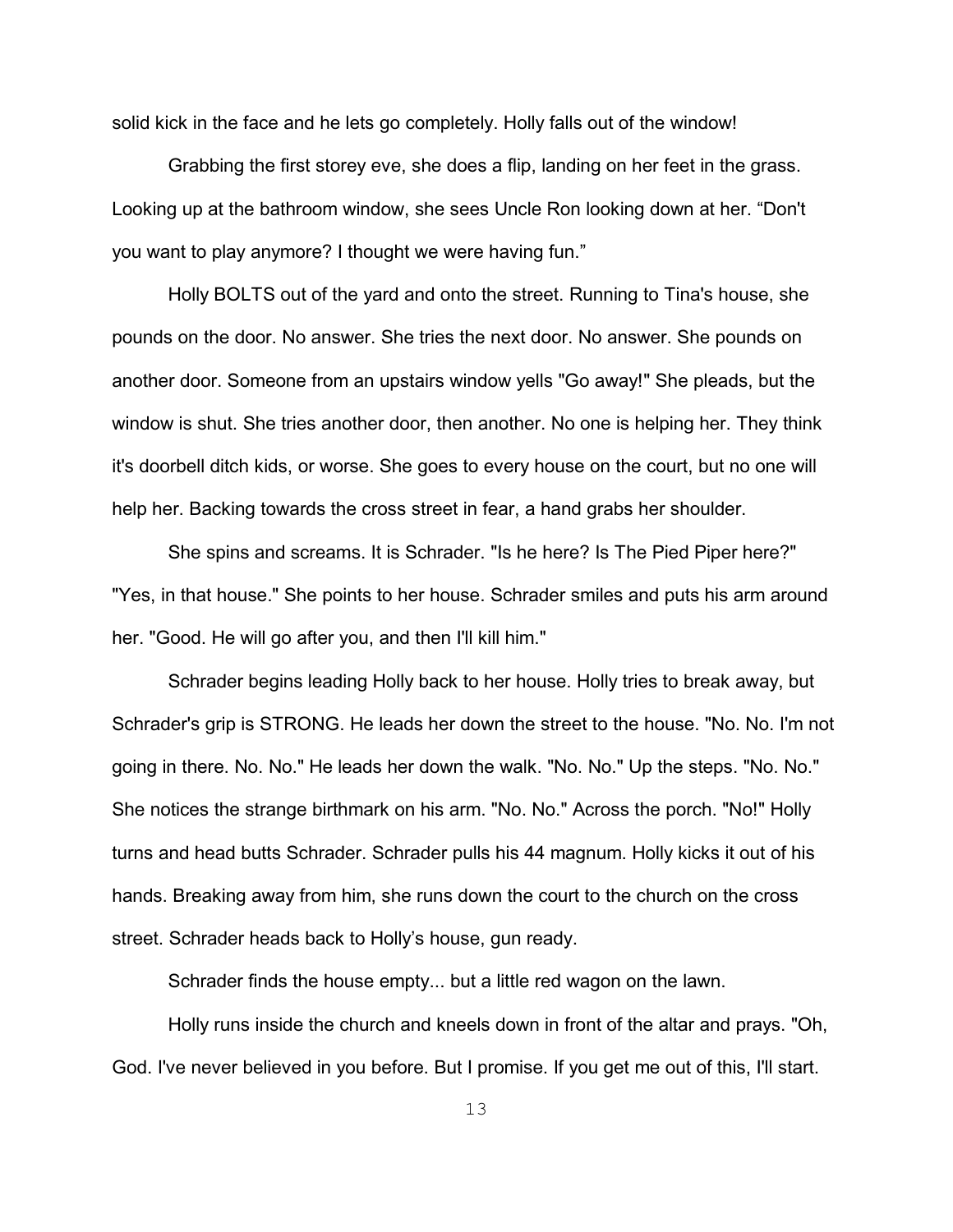solid kick in the face and he lets go completely. Holly falls out of the window!

Grabbing the first storey eve, she does a flip, landing on her feet in the grass. Looking up at the bathroom window, she sees Uncle Ron looking down at her. "Don't you want to play anymore? I thought we were having fun."

Holly BOLTS out of the yard and onto the street. Running to Tina's house, she pounds on the door. No answer. She tries the next door. No answer. She pounds on another door. Someone from an upstairs window yells "Go away!" She pleads, but the window is shut. She tries another door, then another. No one is helping her. They think it's doorbell ditch kids, or worse. She goes to every house on the court, but no one will help her. Backing towards the cross street in fear, a hand grabs her shoulder.

She spins and screams. It is Schrader. "Is he here? Is The Pied Piper here?" "Yes, in that house." She points to her house. Schrader smiles and puts his arm around her. "Good. He will go after you, and then I'll kill him."

Schrader begins leading Holly back to her house. Holly tries to break away, but Schrader's grip is STRONG. He leads her down the street to the house. "No. No. I'm not going in there. No. No." He leads her down the walk. "No. No." Up the steps. "No. No." She notices the strange birthmark on his arm. "No. No." Across the porch. "No!" Holly turns and head butts Schrader. Schrader pulls his 44 magnum. Holly kicks it out of his hands. Breaking away from him, she runs down the court to the church on the cross street. Schrader heads back to Holly's house, gun ready.

Schrader finds the house empty... but a little red wagon on the lawn.

Holly runs inside the church and kneels down in front of the altar and prays. "Oh, God. I've never believed in you before. But I promise. If you get me out of this, I'll start.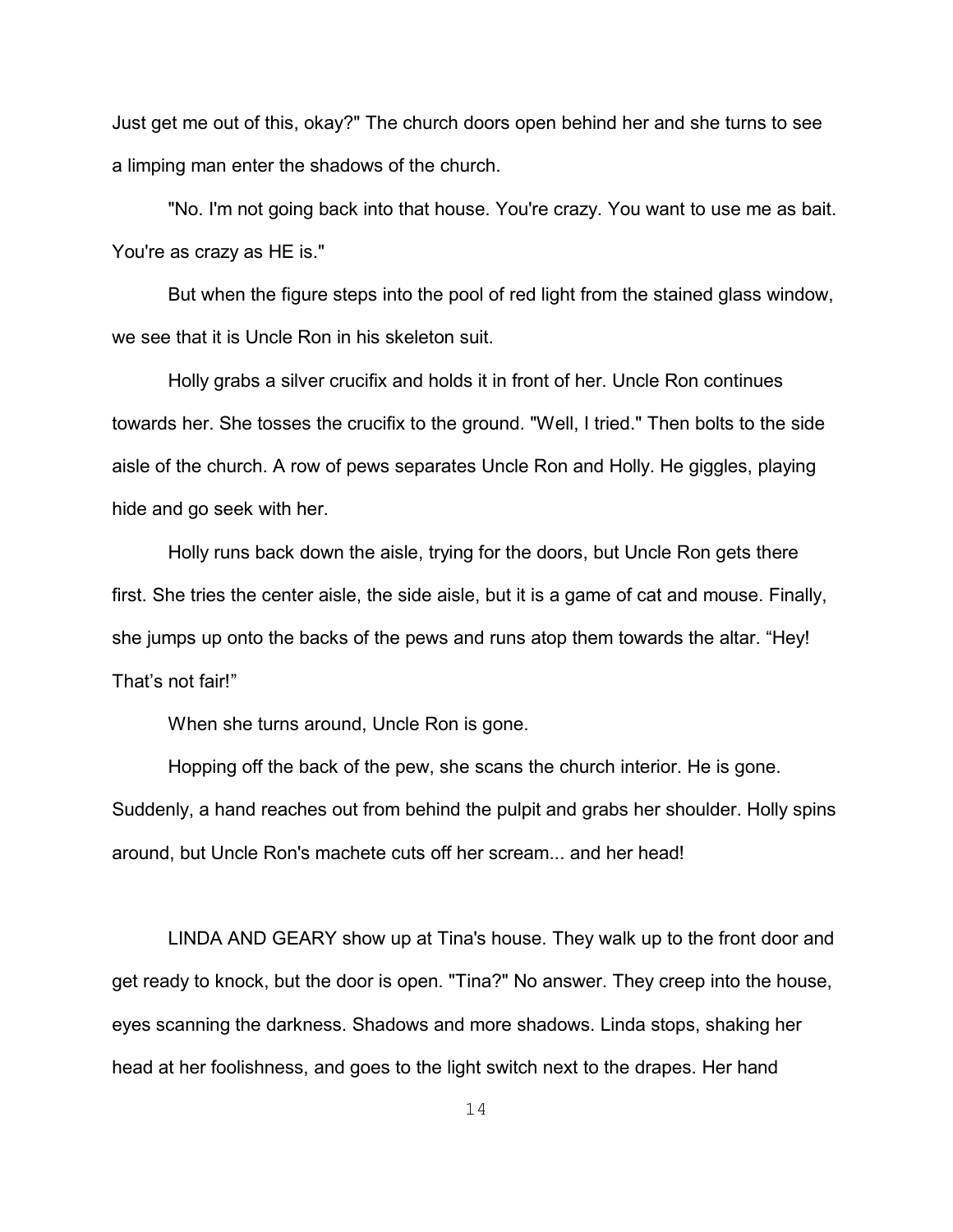Just get me out of this, okay?" The church doors open behind her and she turns to see a limping man enter the shadows of the church.

"No. I'm not going back into that house. You're crazy. You want to use me as bait. You're as crazy as HE is."

But when the figure steps into the pool of red light from the stained glass window, we see that it is Uncle Ron in his skeleton suit.

Holly grabs a silver crucifix and holds it in front of her. Uncle Ron continues towards her. She tosses the crucifix to the ground. "Well, I tried." Then bolts to the side aisle of the church. A row of pews separates Uncle Ron and Holly. He giggles, playing hide and go seek with her.

Holly runs back down the aisle, trying for the doors, but Uncle Ron gets there first. She tries the center aisle, the side aisle, but it is a game of cat and mouse. Finally, she jumps up onto the backs of the pews and runs atop them towards the altar. "Hey! That's not fair!"

When she turns around, Uncle Ron is gone.

Hopping off the back of the pew, she scans the church interior. He is gone. Suddenly, a hand reaches out from behind the pulpit and grabs her shoulder. Holly spins around, but Uncle Ron's machete cuts off her scream... and her head!

LINDA AND GEARY show up at Tina's house. They walk up to the front door and get ready to knock, but the door is open. "Tina?" No answer. They creep into the house, eyes scanning the darkness. Shadows and more shadows. Linda stops, shaking her head at her foolishness, and goes to the light switch next to the drapes. Her hand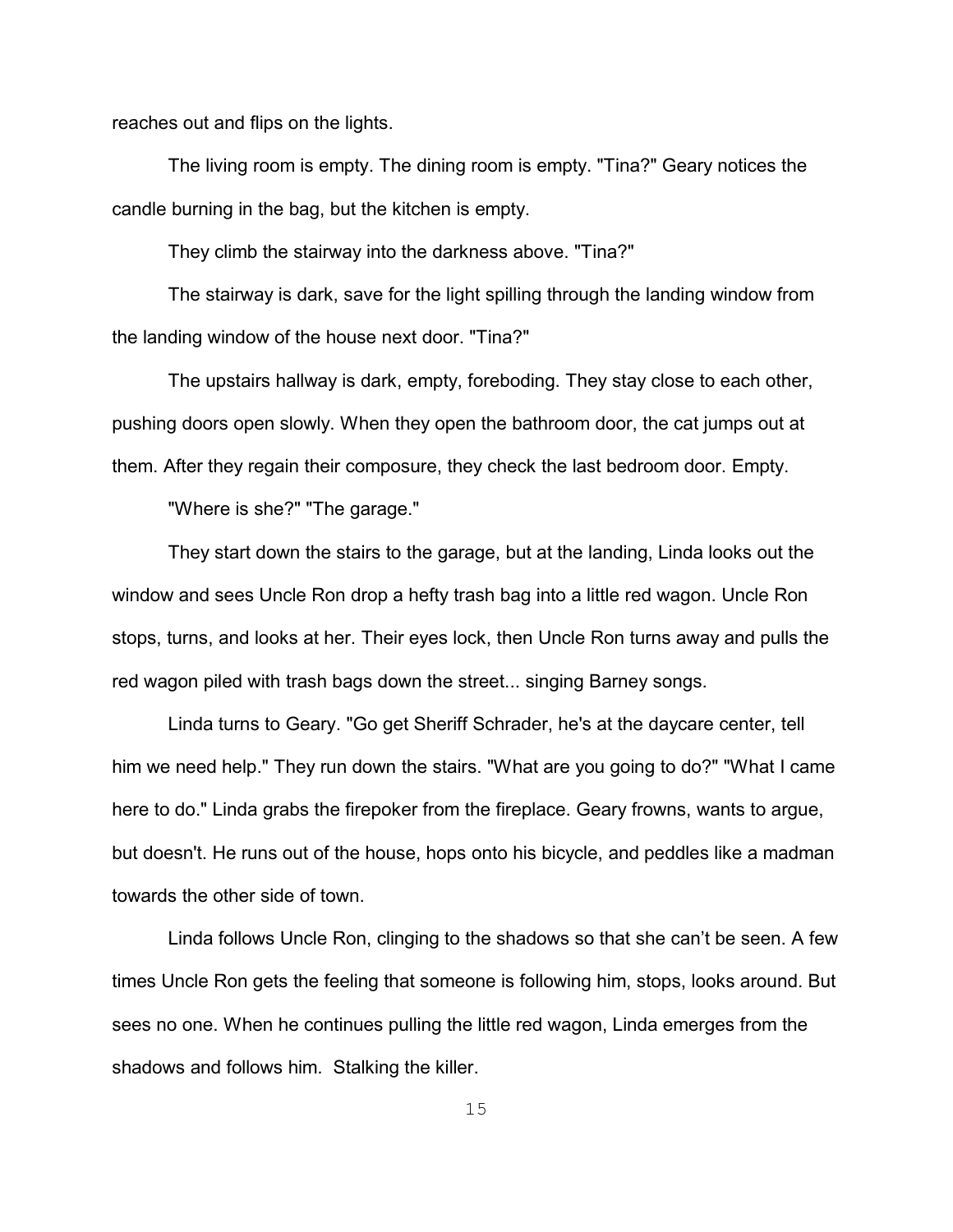reaches out and flips on the lights.

The living room is empty. The dining room is empty. "Tina?" Geary notices the candle burning in the bag, but the kitchen is empty.

They climb the stairway into the darkness above. "Tina?"

The stairway is dark, save for the light spilling through the landing window from the landing window of the house next door. "Tina?"

The upstairs hallway is dark, empty, foreboding. They stay close to each other, pushing doors open slowly. When they open the bathroom door, the cat jumps out at them. After they regain their composure, they check the last bedroom door. Empty.

"Where is she?" "The garage."

They start down the stairs to the garage, but at the landing, Linda looks out the window and sees Uncle Ron drop a hefty trash bag into a little red wagon. Uncle Ron stops, turns, and looks at her. Their eyes lock, then Uncle Ron turns away and pulls the red wagon piled with trash bags down the street... singing Barney songs.

Linda turns to Geary. "Go get Sheriff Schrader, he's at the daycare center, tell him we need help." They run down the stairs. "What are you going to do?" "What I came here to do." Linda grabs the firepoker from the fireplace. Geary frowns, wants to argue, but doesn't. He runs out of the house, hops onto his bicycle, and peddles like a madman towards the other side of town.

Linda follows Uncle Ron, clinging to the shadows so that she can't be seen. A few times Uncle Ron gets the feeling that someone is following him, stops, looks around. But sees no one. When he continues pulling the little red wagon, Linda emerges from the shadows and follows him. Stalking the killer.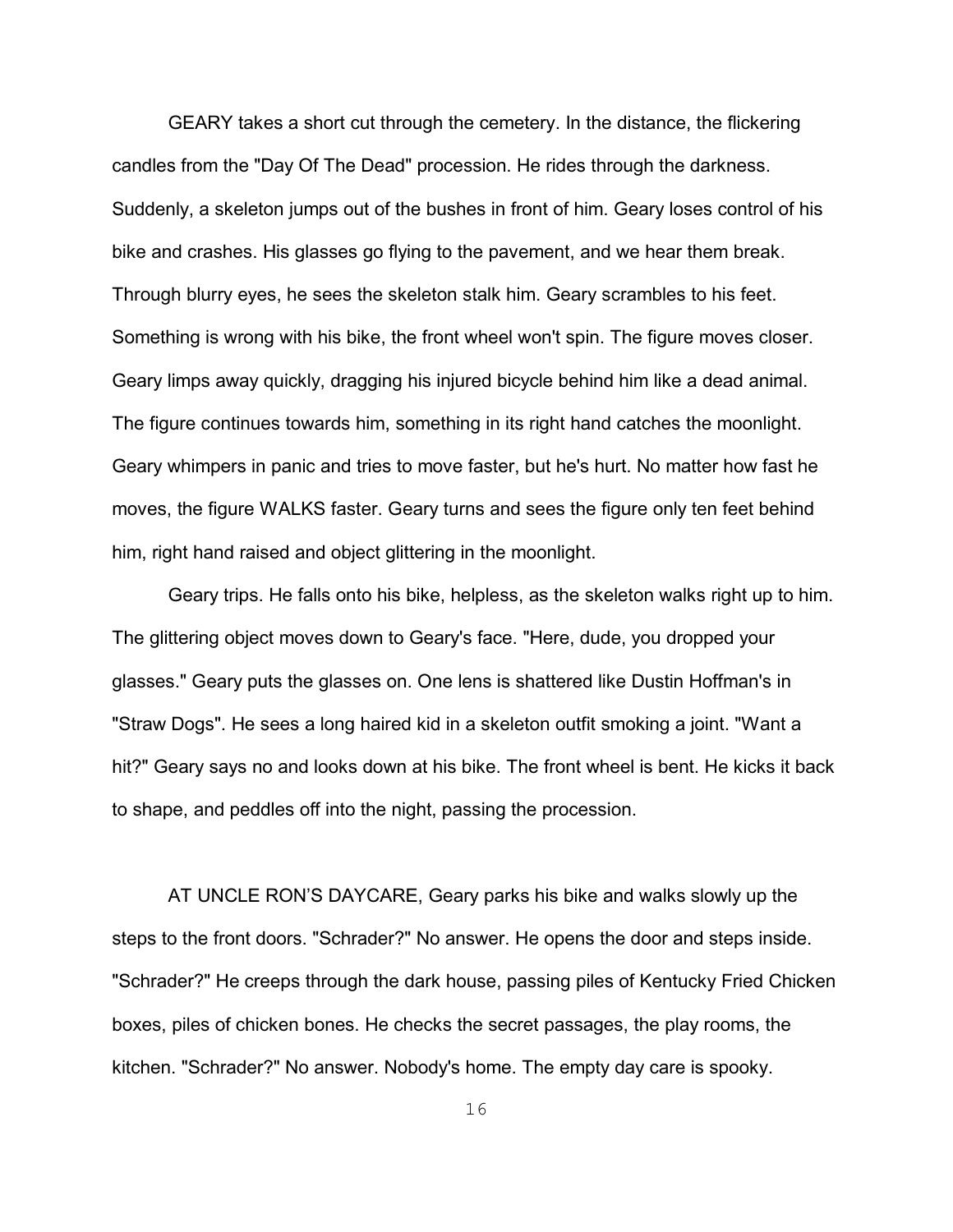GEARY takes a short cut through the cemetery. In the distance, the flickering candles from the "Day Of The Dead" procession. He rides through the darkness. Suddenly, a skeleton jumps out of the bushes in front of him. Geary loses control of his bike and crashes. His glasses go flying to the pavement, and we hear them break. Through blurry eyes, he sees the skeleton stalk him. Geary scrambles to his feet. Something is wrong with his bike, the front wheel won't spin. The figure moves closer. Geary limps away quickly, dragging his injured bicycle behind him like a dead animal. The figure continues towards him, something in its right hand catches the moonlight. Geary whimpers in panic and tries to move faster, but he's hurt. No matter how fast he moves, the figure WALKS faster. Geary turns and sees the figure only ten feet behind him, right hand raised and object glittering in the moonlight.

Geary trips. He falls onto his bike, helpless, as the skeleton walks right up to him. The glittering object moves down to Geary's face. "Here, dude, you dropped your glasses." Geary puts the glasses on. One lens is shattered like Dustin Hoffman's in "Straw Dogs". He sees a long haired kid in a skeleton outfit smoking a joint. "Want a hit?" Geary says no and looks down at his bike. The front wheel is bent. He kicks it back to shape, and peddles off into the night, passing the procession.

AT UNCLE RON'S DAYCARE, Geary parks his bike and walks slowly up the steps to the front doors. "Schrader?" No answer. He opens the door and steps inside. "Schrader?" He creeps through the dark house, passing piles of Kentucky Fried Chicken boxes, piles of chicken bones. He checks the secret passages, the play rooms, the kitchen. "Schrader?" No answer. Nobody's home. The empty day care is spooky.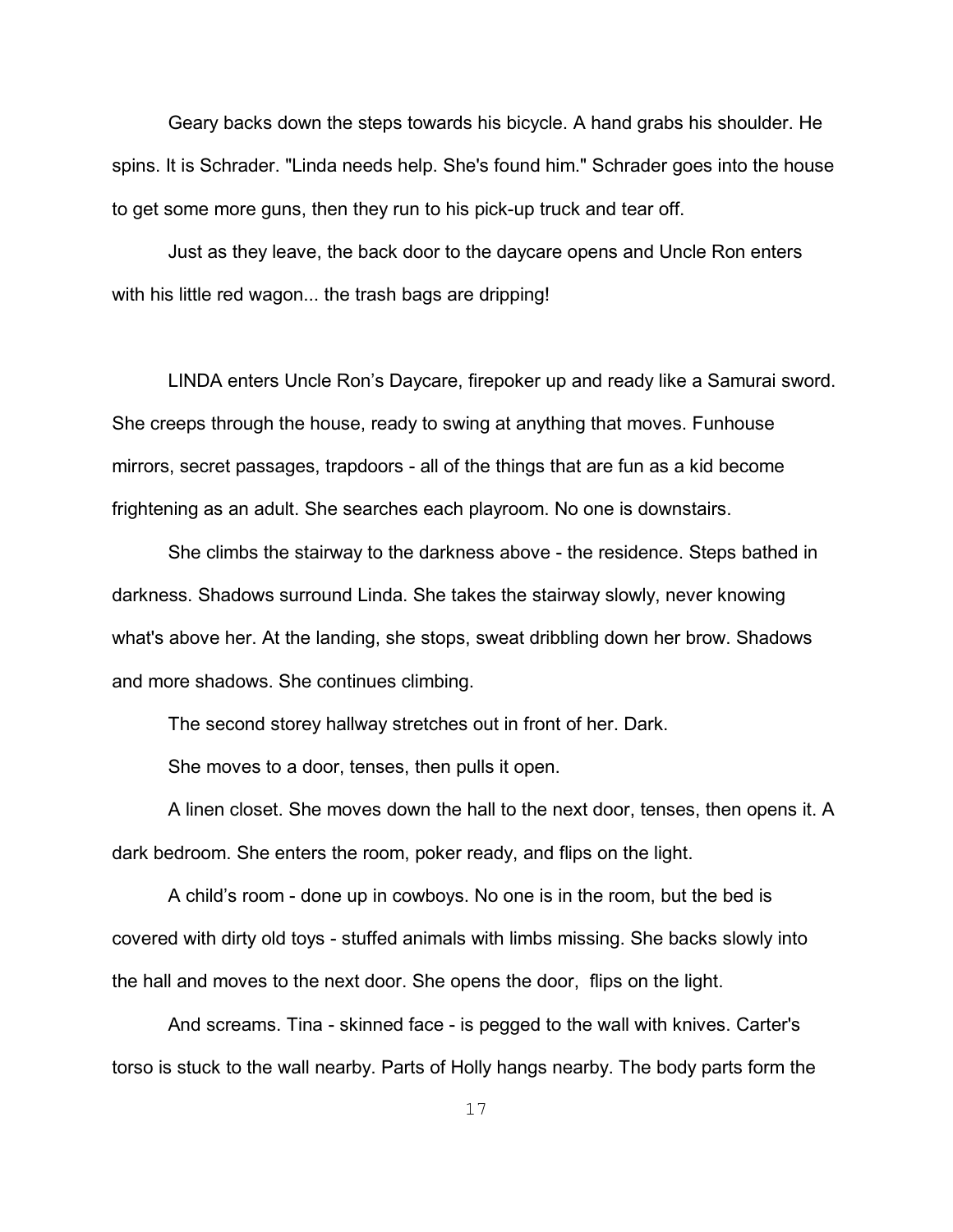Geary backs down the steps towards his bicycle. A hand grabs his shoulder. He spins. It is Schrader. "Linda needs help. She's found him." Schrader goes into the house to get some more guns, then they run to his pick-up truck and tear off.

Just as they leave, the back door to the daycare opens and Uncle Ron enters with his little red wagon... the trash bags are dripping!

LINDA enters Uncle Ron's Daycare, firepoker up and ready like a Samurai sword. She creeps through the house, ready to swing at anything that moves. Funhouse mirrors, secret passages, trapdoors - all of the things that are fun as a kid become frightening as an adult. She searches each playroom. No one is downstairs.

She climbs the stairway to the darkness above - the residence. Steps bathed in darkness. Shadows surround Linda. She takes the stairway slowly, never knowing what's above her. At the landing, she stops, sweat dribbling down her brow. Shadows and more shadows. She continues climbing.

The second storey hallway stretches out in front of her. Dark.

She moves to a door, tenses, then pulls it open.

A linen closet. She moves down the hall to the next door, tenses, then opens it. A dark bedroom. She enters the room, poker ready, and flips on the light.

A child's room - done up in cowboys. No one is in the room, but the bed is covered with dirty old toys - stuffed animals with limbs missing. She backs slowly into the hall and moves to the next door. She opens the door, flips on the light.

And screams. Tina - skinned face - is pegged to the wall with knives. Carter's torso is stuck to the wall nearby. Parts of Holly hangs nearby. The body parts form the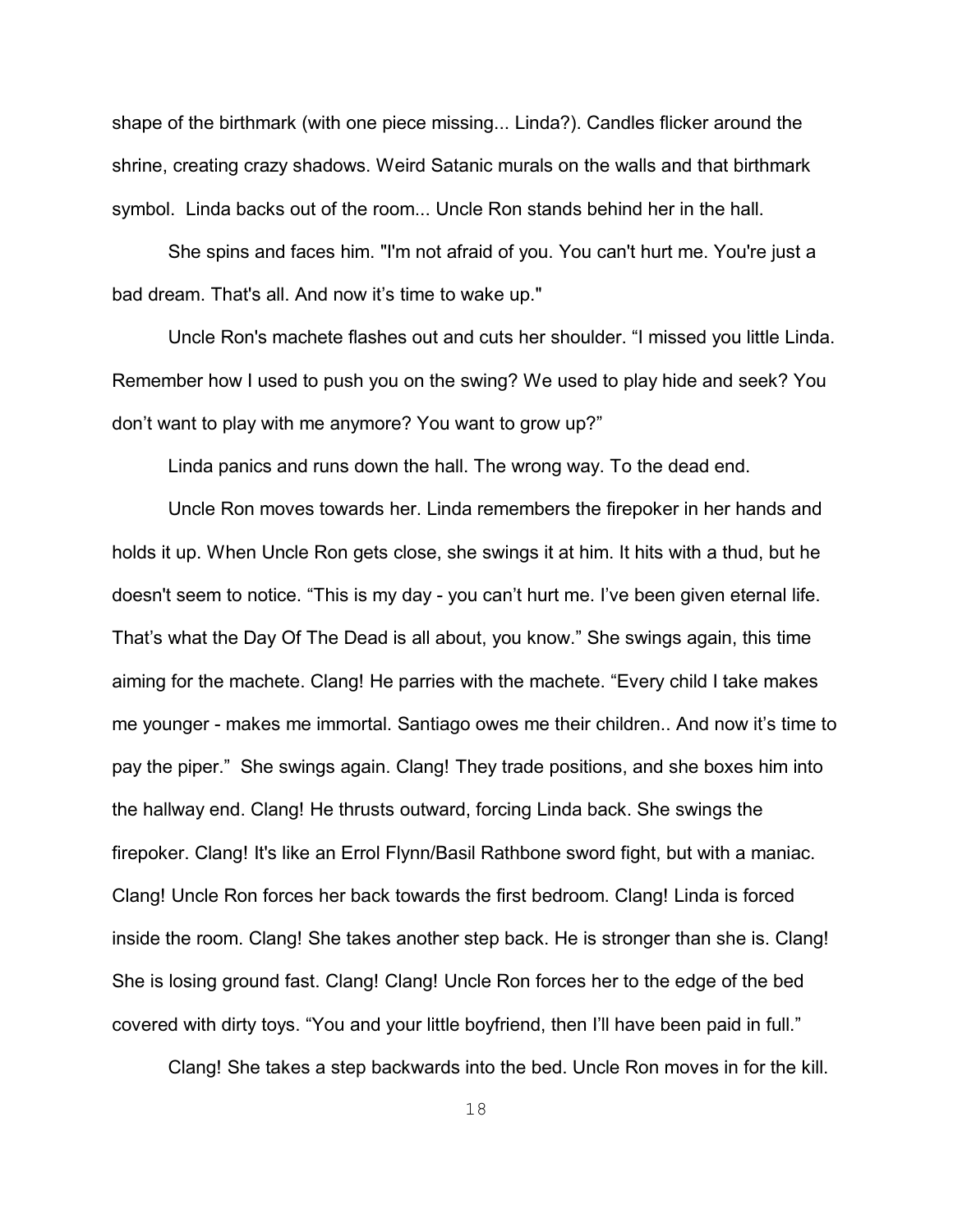shape of the birthmark (with one piece missing... Linda?). Candles flicker around the shrine, creating crazy shadows. Weird Satanic murals on the walls and that birthmark symbol. Linda backs out of the room... Uncle Ron stands behind her in the hall.

She spins and faces him. "I'm not afraid of you. You can't hurt me. You're just a bad dream. That's all. And now it's time to wake up."

Uncle Ron's machete flashes out and cuts her shoulder. "I missed you little Linda. Remember how I used to push you on the swing? We used to play hide and seek? You don't want to play with me anymore? You want to grow up?"

Linda panics and runs down the hall. The wrong way. To the dead end.

Uncle Ron moves towards her. Linda remembers the firepoker in her hands and holds it up. When Uncle Ron gets close, she swings it at him. It hits with a thud, but he doesn't seem to notice. "This is my day - you can't hurt me. I've been given eternal life. That's what the Day Of The Dead is all about, you know." She swings again, this time aiming for the machete. Clang! He parries with the machete. "Every child I take makes me younger - makes me immortal. Santiago owes me their children.. And now it's time to pay the piper." She swings again. Clang! They trade positions, and she boxes him into the hallway end. Clang! He thrusts outward, forcing Linda back. She swings the firepoker. Clang! It's like an Errol Flynn/Basil Rathbone sword fight, but with a maniac. Clang! Uncle Ron forces her back towards the first bedroom. Clang! Linda is forced inside the room. Clang! She takes another step back. He is stronger than she is. Clang! She is losing ground fast. Clang! Clang! Uncle Ron forces her to the edge of the bed covered with dirty toys. "You and your little boyfriend, then I'll have been paid in full."

Clang! She takes a step backwards into the bed. Uncle Ron moves in for the kill.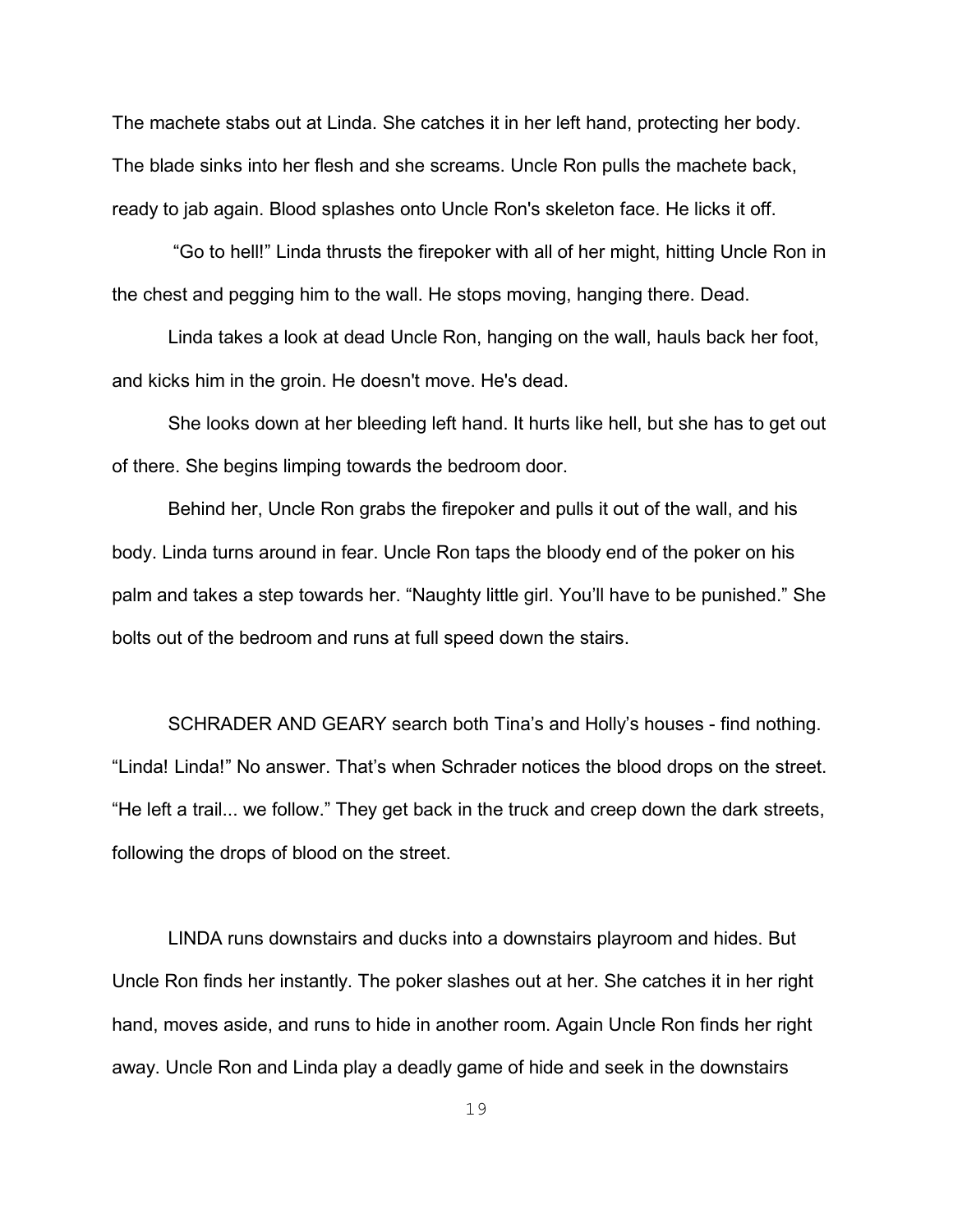The machete stabs out at Linda. She catches it in her left hand, protecting her body. The blade sinks into her flesh and she screams. Uncle Ron pulls the machete back, ready to jab again. Blood splashes onto Uncle Ron's skeleton face. He licks it off.

 "Go to hell!" Linda thrusts the firepoker with all of her might, hitting Uncle Ron in the chest and pegging him to the wall. He stops moving, hanging there. Dead.

Linda takes a look at dead Uncle Ron, hanging on the wall, hauls back her foot, and kicks him in the groin. He doesn't move. He's dead.

She looks down at her bleeding left hand. It hurts like hell, but she has to get out of there. She begins limping towards the bedroom door.

Behind her, Uncle Ron grabs the firepoker and pulls it out of the wall, and his body. Linda turns around in fear. Uncle Ron taps the bloody end of the poker on his palm and takes a step towards her. "Naughty little girl. You'll have to be punished." She bolts out of the bedroom and runs at full speed down the stairs.

SCHRADER AND GEARY search both Tina's and Holly's houses - find nothing. "Linda! Linda!" No answer. That's when Schrader notices the blood drops on the street. "He left a trail... we follow." They get back in the truck and creep down the dark streets, following the drops of blood on the street.

LINDA runs downstairs and ducks into a downstairs playroom and hides. But Uncle Ron finds her instantly. The poker slashes out at her. She catches it in her right hand, moves aside, and runs to hide in another room. Again Uncle Ron finds her right away. Uncle Ron and Linda play a deadly game of hide and seek in the downstairs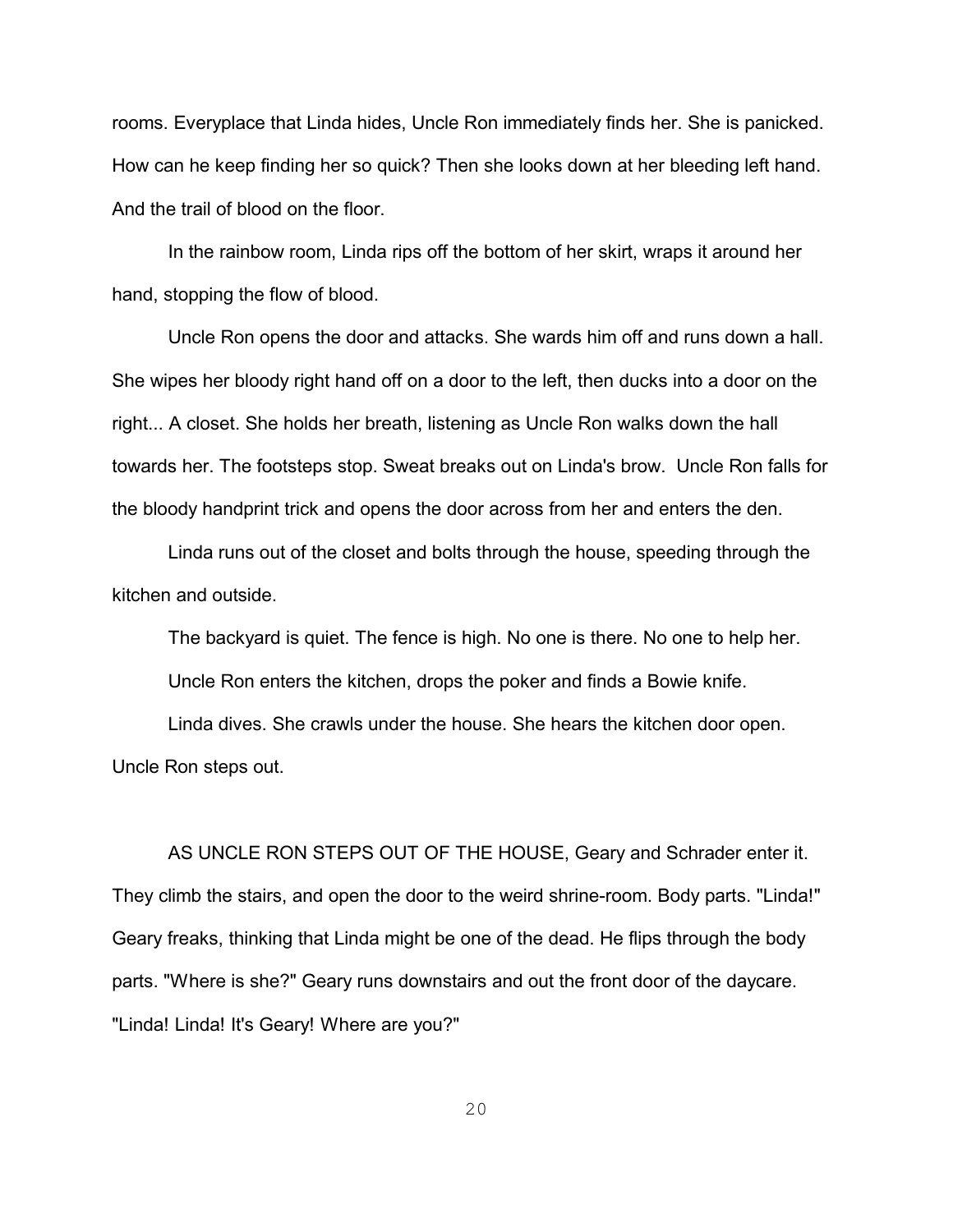rooms. Everyplace that Linda hides, Uncle Ron immediately finds her. She is panicked. How can he keep finding her so quick? Then she looks down at her bleeding left hand. And the trail of blood on the floor.

In the rainbow room, Linda rips off the bottom of her skirt, wraps it around her hand, stopping the flow of blood.

Uncle Ron opens the door and attacks. She wards him off and runs down a hall. She wipes her bloody right hand off on a door to the left, then ducks into a door on the right... A closet. She holds her breath, listening as Uncle Ron walks down the hall towards her. The footsteps stop. Sweat breaks out on Linda's brow. Uncle Ron falls for the bloody handprint trick and opens the door across from her and enters the den.

Linda runs out of the closet and bolts through the house, speeding through the kitchen and outside.

The backyard is quiet. The fence is high. No one is there. No one to help her. Uncle Ron enters the kitchen, drops the poker and finds a Bowie knife.

Linda dives. She crawls under the house. She hears the kitchen door open. Uncle Ron steps out.

AS UNCLE RON STEPS OUT OF THE HOUSE, Geary and Schrader enter it. They climb the stairs, and open the door to the weird shrine-room. Body parts. "Linda!" Geary freaks, thinking that Linda might be one of the dead. He flips through the body parts. "Where is she?" Geary runs downstairs and out the front door of the daycare. "Linda! Linda! It's Geary! Where are you?"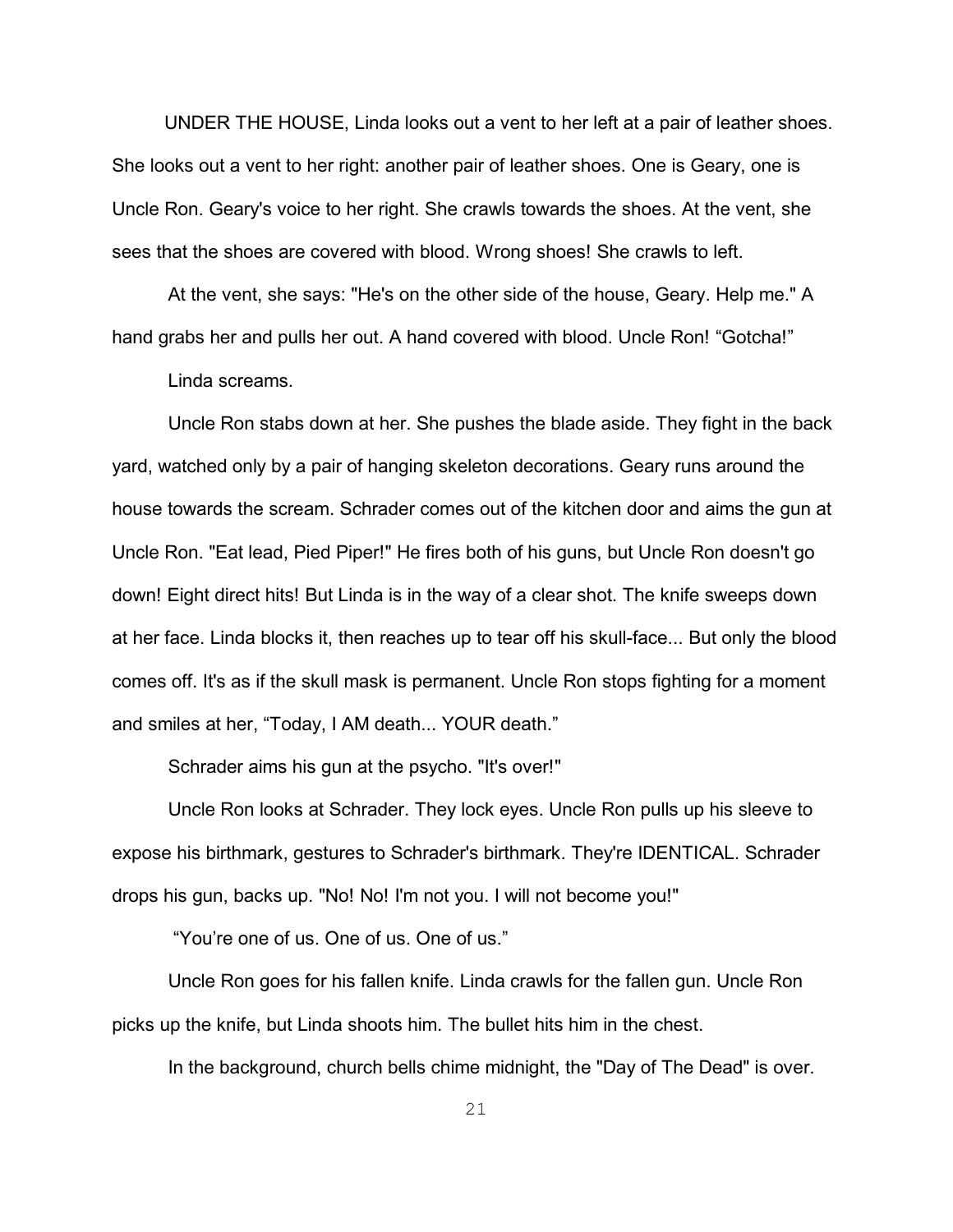UNDER THE HOUSE, Linda looks out a vent to her left at a pair of leather shoes. She looks out a vent to her right: another pair of leather shoes. One is Geary, one is Uncle Ron. Geary's voice to her right. She crawls towards the shoes. At the vent, she sees that the shoes are covered with blood. Wrong shoes! She crawls to left.

At the vent, she says: "He's on the other side of the house, Geary. Help me." A hand grabs her and pulls her out. A hand covered with blood. Uncle Ron! "Gotcha!"

Linda screams.

Uncle Ron stabs down at her. She pushes the blade aside. They fight in the back yard, watched only by a pair of hanging skeleton decorations. Geary runs around the house towards the scream. Schrader comes out of the kitchen door and aims the gun at Uncle Ron. "Eat lead, Pied Piper!" He fires both of his guns, but Uncle Ron doesn't go down! Eight direct hits! But Linda is in the way of a clear shot. The knife sweeps down at her face. Linda blocks it, then reaches up to tear off his skull-face... But only the blood comes off. It's as if the skull mask is permanent. Uncle Ron stops fighting for a moment and smiles at her, "Today, I AM death... YOUR death."

Schrader aims his gun at the psycho. "It's over!"

Uncle Ron looks at Schrader. They lock eyes. Uncle Ron pulls up his sleeve to expose his birthmark, gestures to Schrader's birthmark. They're IDENTICAL. Schrader drops his gun, backs up. "No! No! I'm not you. I will not become you!"

"You're one of us. One of us. One of us."

Uncle Ron goes for his fallen knife. Linda crawls for the fallen gun. Uncle Ron picks up the knife, but Linda shoots him. The bullet hits him in the chest.

In the background, church bells chime midnight, the "Day of The Dead" is over.